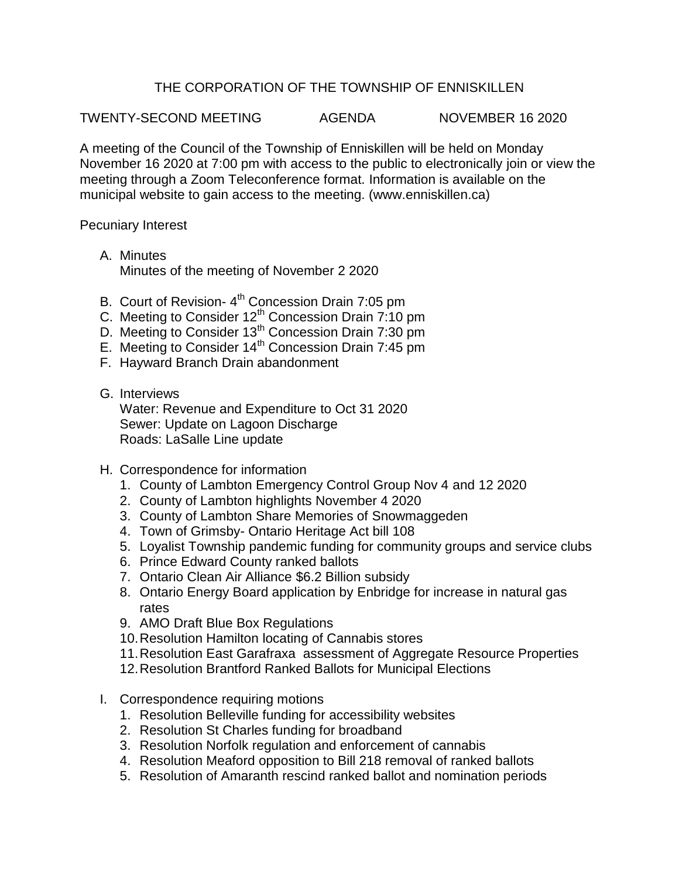## THE CORPORATION OF THE TOWNSHIP OF ENNISKILLEN

TWENTY-SECOND MEETING AGENDA NOVEMBER 16 2020

A meeting of the Council of the Township of Enniskillen will be held on Monday November 16 2020 at 7:00 pm with access to the public to electronically join or view the meeting through a Zoom Teleconference format. Information is available on the municipal website to gain access to the meeting. (www.enniskillen.ca)

Pecuniary Interest

- A. Minutes Minutes of the meeting of November 2 2020
- B. Court of Revision- 4<sup>th</sup> Concession Drain 7:05 pm
- C. Meeting to Consider 12<sup>th</sup> Concession Drain 7:10 pm
- D. Meeting to Consider 13<sup>th</sup> Concession Drain 7:30 pm
- E. Meeting to Consider  $14<sup>th</sup>$  Concession Drain 7:45 pm
- F. Hayward Branch Drain abandonment
- G. Interviews

Water: Revenue and Expenditure to Oct 31 2020 Sewer: Update on Lagoon Discharge Roads: LaSalle Line update

- H. Correspondence for information
	- 1. County of Lambton Emergency Control Group Nov 4 and 12 2020
	- 2. County of Lambton highlights November 4 2020
	- 3. County of Lambton Share Memories of Snowmaggeden
	- 4. Town of Grimsby- Ontario Heritage Act bill 108
	- 5. Loyalist Township pandemic funding for community groups and service clubs
	- 6. Prince Edward County ranked ballots
	- 7. Ontario Clean Air Alliance \$6.2 Billion subsidy
	- 8. Ontario Energy Board application by Enbridge for increase in natural gas rates
	- 9. AMO Draft Blue Box Regulations
	- 10.Resolution Hamilton locating of Cannabis stores
	- 11.Resolution East Garafraxa assessment of Aggregate Resource Properties
	- 12.Resolution Brantford Ranked Ballots for Municipal Elections
- I. Correspondence requiring motions
	- 1. Resolution Belleville funding for accessibility websites
	- 2. Resolution St Charles funding for broadband
	- 3. Resolution Norfolk regulation and enforcement of cannabis
	- 4. Resolution Meaford opposition to Bill 218 removal of ranked ballots
	- 5. Resolution of Amaranth rescind ranked ballot and nomination periods